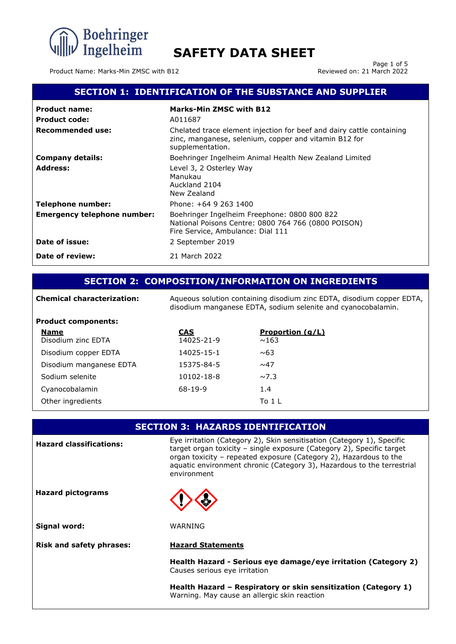

Product Name: Marks-Min ZMSC with B12

Page 1 of 5<br>Reviewed on: 21 March 2022

# **SECTION 1: IDENTIFICATION OF THE SUBSTANCE AND SUPPLIER**

| <b>Product name:</b>               | <b>Marks-Min ZMSC with B12</b>                                                                                                                     |
|------------------------------------|----------------------------------------------------------------------------------------------------------------------------------------------------|
| <b>Product code:</b>               | A011687                                                                                                                                            |
| Recommended use:                   | Chelated trace element injection for beef and dairy cattle containing<br>zinc, manganese, selenium, copper and vitamin B12 for<br>supplementation. |
| <b>Company details:</b>            | Boehringer Ingelheim Animal Health New Zealand Limited                                                                                             |
| <b>Address:</b>                    | Level 3, 2 Osterley Way<br>Manukau<br>Auckland 2104<br>New Zealand                                                                                 |
| <b>Telephone number:</b>           | Phone: +64 9 263 1400                                                                                                                              |
| <b>Emergency telephone number:</b> | Boehringer Ingelheim Freephone: 0800 800 822<br>National Poisons Centre: 0800 764 766 (0800 POISON)<br>Fire Service, Ambulance: Dial 111           |
| Date of issue:                     | 2 September 2019                                                                                                                                   |
| Date of review:                    | 21 March 2022                                                                                                                                      |

# **SECTION 2: COMPOSITION/INFORMATION ON INGREDIENTS**

| <b>Chemical characterization:</b> |            | Aqueous solution containing disodium zinc EDTA, disodium copper EDTA,<br>disodium manganese EDTA, sodium selenite and cyanocobalamin. |
|-----------------------------------|------------|---------------------------------------------------------------------------------------------------------------------------------------|
| <b>Product components:</b>        |            |                                                                                                                                       |
| <b>Name</b>                       | <b>CAS</b> | <b>Proportion (g/L)</b>                                                                                                               |
| Disodium zinc EDTA                | 14025-21-9 | ~163                                                                                                                                  |
| Disodium copper EDTA              | 14025-15-1 | ~0.63                                                                                                                                 |
| Disodium manganese EDTA           | 15375-84-5 | $\sim$ 47                                                                                                                             |
| Sodium selenite                   | 10102-18-8 | $\sim$ 7.3                                                                                                                            |
| Cyanocobalamin                    | $68-19-9$  | 1.4                                                                                                                                   |
| Other ingredients                 |            | To 1 L                                                                                                                                |

|                                 | <b>SECTION 3: HAZARDS IDENTIFICATION</b>                                                                                                                                                                                                                                                                      |
|---------------------------------|---------------------------------------------------------------------------------------------------------------------------------------------------------------------------------------------------------------------------------------------------------------------------------------------------------------|
| <b>Hazard classifications:</b>  | Eye irritation (Category 2), Skin sensitisation (Category 1), Specific<br>target organ toxicity - single exposure (Category 2), Specific target<br>organ toxicity - repeated exposure (Category 2), Hazardous to the<br>aquatic environment chronic (Category 3), Hazardous to the terrestrial<br>environment |
| <b>Hazard pictograms</b>        |                                                                                                                                                                                                                                                                                                               |
| Signal word:                    | WARNING                                                                                                                                                                                                                                                                                                       |
| <b>Risk and safety phrases:</b> | <b>Hazard Statements</b>                                                                                                                                                                                                                                                                                      |
|                                 | Health Hazard - Serious eye damage/eye irritation (Category 2)<br>Causes serious eye irritation                                                                                                                                                                                                               |
|                                 | Health Hazard – Respiratory or skin sensitization (Category 1)<br>Warning. May cause an allergic skin reaction                                                                                                                                                                                                |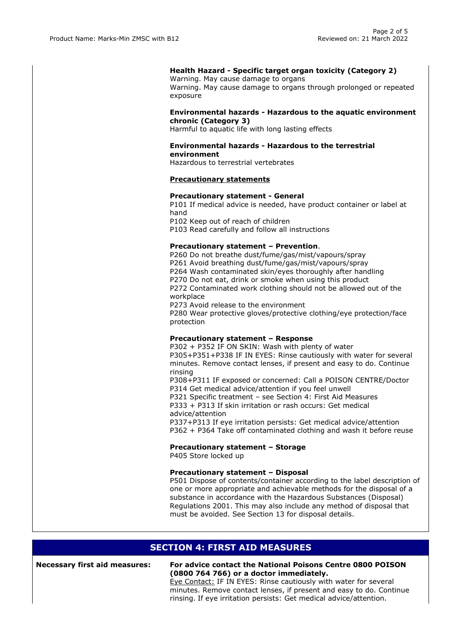## **Health Hazard - Specific target organ toxicity (Category 2)**

Warning. May cause damage to organs Warning. May cause damage to organs through prolonged or repeated exposure

### **Environmental hazards - Hazardous to the aquatic environment chronic (Category 3)**

Harmful to aquatic life with long lasting effects

## **Environmental hazards - Hazardous to the terrestrial environment**

Hazardous to terrestrial vertebrates

## **Precautionary statements**

### **Precautionary statement - General**

P101 If medical advice is needed, have product container or label at hand

P102 Keep out of reach of children

P103 Read carefully and follow all instructions

### **Precautionary statement – Prevention**.

P260 Do not breathe dust/fume/gas/mist/vapours/spray P261 Avoid breathing dust/fume/gas/mist/vapours/spray P264 Wash contaminated skin/eyes thoroughly after handling P270 Do not eat, drink or smoke when using this product P272 Contaminated work clothing should not be allowed out of the workplace P273 Avoid release to the environment

P280 Wear protective gloves/protective clothing/eye protection/face protection

### **Precautionary statement – Response**

P302 + P352 IF ON SKIN: Wash with plenty of water P305+P351+P338 IF IN EYES: Rinse cautiously with water for several minutes. Remove contact lenses, if present and easy to do. Continue rinsing P308+P311 IF exposed or concerned: Call a POISON CENTRE/Doctor

P314 Get medical advice/attention if you feel unwell

P321 Specific treatment – see Section 4: First Aid Measures P333 + P313 If skin irritation or rash occurs: Get medical

advice/attention P337+P313 If eye irritation persists: Get medical advice/attention P362 + P364 Take off contaminated clothing and wash it before reuse

### **Precautionary statement – Storage**

P405 Store locked up

### **Precautionary statement – Disposal**

P501 Dispose of contents/container according to the label description of one or more appropriate and achievable methods for the disposal of a substance in accordance with the Hazardous Substances (Disposal) Regulations 2001. This may also include any method of disposal that must be avoided. See Section 13 for disposal details.

# **SECTION 4: FIRST AID MEASURES**

#### **Necessary first aid measures: For advice contact the National Poisons Centre 0800 POISON (0800 764 766) or a doctor immediately.**

Eye Contact: IF IN EYES: Rinse cautiously with water for several minutes. Remove contact lenses, if present and easy to do. Continue rinsing. If eye irritation persists: Get medical advice/attention.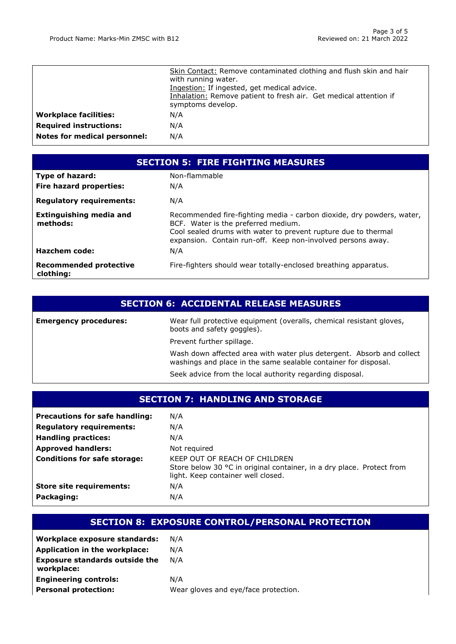|                               | Skin Contact: Remove contaminated clothing and flush skin and hair<br>with running water.<br>Ingestion: If ingested, get medical advice.<br>Inhalation: Remove patient to fresh air. Get medical attention if<br>symptoms develop. |
|-------------------------------|------------------------------------------------------------------------------------------------------------------------------------------------------------------------------------------------------------------------------------|
| <b>Workplace facilities:</b>  | N/A                                                                                                                                                                                                                                |
| <b>Required instructions:</b> | N/A                                                                                                                                                                                                                                |
| Notes for medical personnel:  | N/A                                                                                                                                                                                                                                |

| <b>SECTION 5: FIRE FIGHTING MEASURES</b>   |                                                                                                                                                                                                                                               |  |
|--------------------------------------------|-----------------------------------------------------------------------------------------------------------------------------------------------------------------------------------------------------------------------------------------------|--|
| <b>Type of hazard:</b>                     | Non-flammable                                                                                                                                                                                                                                 |  |
| <b>Fire hazard properties:</b>             | N/A                                                                                                                                                                                                                                           |  |
| <b>Regulatory requirements:</b>            | N/A                                                                                                                                                                                                                                           |  |
| <b>Extinguishing media and</b><br>methods: | Recommended fire-fighting media - carbon dioxide, dry powders, water,<br>BCF. Water is the preferred medium.<br>Cool sealed drums with water to prevent rupture due to thermal<br>expansion. Contain run-off. Keep non-involved persons away. |  |
| Hazchem code:                              | N/A                                                                                                                                                                                                                                           |  |
| <b>Recommended protective</b><br>clothing: | Fire-fighters should wear totally-enclosed breathing apparatus.                                                                                                                                                                               |  |

# **SECTION 6: ACCIDENTAL RELEASE MEASURES**

| <b>Emergency procedures:</b> | Wear full protective equipment (overalls, chemical resistant gloves,<br>boots and safety goggles).                                       |
|------------------------------|------------------------------------------------------------------------------------------------------------------------------------------|
|                              | Prevent further spillage.                                                                                                                |
|                              | Wash down affected area with water plus detergent. Absorb and collect<br>washings and place in the same sealable container for disposal. |
|                              | Seek advice from the local authority regarding disposal.                                                                                 |

# **SECTION 7: HANDLING AND STORAGE**

| <b>Precautions for safe handling:</b><br><b>Regulatory requirements:</b><br><b>Handling practices:</b><br><b>Approved handlers:</b><br><b>Conditions for safe storage:</b> | N/A<br>N/A<br>N/A<br>Not required<br>KEEP OUT OF REACH OF CHILDREN                                          |
|----------------------------------------------------------------------------------------------------------------------------------------------------------------------------|-------------------------------------------------------------------------------------------------------------|
|                                                                                                                                                                            | Store below 30 °C in original container, in a dry place. Protect from<br>light. Keep container well closed. |
| <b>Store site requirements:</b>                                                                                                                                            | N/A                                                                                                         |
| Packaging:                                                                                                                                                                 | N/A                                                                                                         |

# **SECTION 8: EXPOSURE CONTROL/PERSONAL PROTECTION**

| Workplace exposure standards:                       | N/A                                  |
|-----------------------------------------------------|--------------------------------------|
| Application in the workplace:                       | N/A                                  |
| <b>Exposure standards outside the</b><br>workplace: | N/A                                  |
| <b>Engineering controls:</b>                        | N/A                                  |
| <b>Personal protection:</b>                         | Wear gloves and eye/face protection. |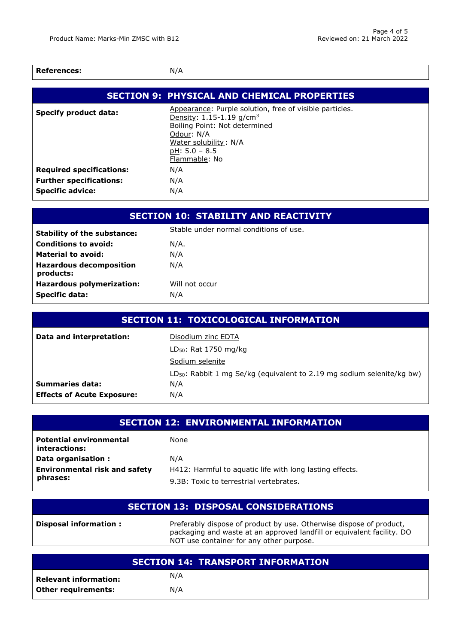| <b>References:</b>              | N/A                                                                                                                                                                                                         |
|---------------------------------|-------------------------------------------------------------------------------------------------------------------------------------------------------------------------------------------------------------|
|                                 | <b>SECTION 9: PHYSICAL AND CHEMICAL PROPERTIES</b>                                                                                                                                                          |
| <b>Specify product data:</b>    | Appearance: Purple solution, free of visible particles.<br>Density: 1.15-1.19 g/cm <sup>3</sup><br>Boiling Point: Not determined<br>Odour: N/A<br>Water solubility: N/A<br>$pH: 5.0 - 8.5$<br>Flammable: No |
| <b>Required specifications:</b> | N/A                                                                                                                                                                                                         |
| <b>Further specifications:</b>  | N/A                                                                                                                                                                                                         |
| <b>Specific advice:</b>         | N/A                                                                                                                                                                                                         |

|                                             |      | <b>SECTION 10: STABILITY AND REACTIVITY</b> |
|---------------------------------------------|------|---------------------------------------------|
| <b>Stability of the substance:</b>          |      | Stable under normal conditions of use.      |
| <b>Conditions to avoid:</b>                 | N/A. |                                             |
| <b>Material to avoid:</b>                   | N/A  |                                             |
| <b>Hazardous decomposition</b><br>products: | N/A  |                                             |
| <b>Hazardous polymerization:</b>            |      | Will not occur                              |
| <b>Specific data:</b>                       | N/A  |                                             |

| <b>SECTION 11: TOXICOLOGICAL INFORMATION</b> |                                                                             |  |
|----------------------------------------------|-----------------------------------------------------------------------------|--|
| Data and interpretation:                     | Disodium zinc EDTA                                                          |  |
|                                              | $LD_{50}$ : Rat 1750 mg/kg                                                  |  |
|                                              | Sodium selenite                                                             |  |
|                                              | $LD_{50}$ : Rabbit 1 mg Se/kg (equivalent to 2.19 mg sodium selenite/kg bw) |  |
| <b>Summaries data:</b>                       | N/A                                                                         |  |
| <b>Effects of Acute Exposure:</b>            | N/A                                                                         |  |

| <b>SECTION 12: ENVIRONMENTAL INFORMATION</b>    |                                                          |
|-------------------------------------------------|----------------------------------------------------------|
| <b>Potential environmental</b><br>interactions: | None                                                     |
| Data organisation :                             | N/A                                                      |
| <b>Environmental risk and safety</b>            | H412: Harmful to aquatic life with long lasting effects. |
| phrases:                                        | 9.3B: Toxic to terrestrial vertebrates.                  |

|                        | <b>SECTION 13: DISPOSAL CONSIDERATIONS</b>                          |
|------------------------|---------------------------------------------------------------------|
| Disposal information : | Preferably dispose of product by use. Otherwise dispose of product, |

| NOT use container for any other purpose. |                                          |  |  |
|------------------------------------------|------------------------------------------|--|--|
|                                          |                                          |  |  |
|                                          | <b>SECTION 14: TRANSPORT INFORMATION</b> |  |  |
| Relevant information:                    | N/A                                      |  |  |
| Other requirements:                      | N/A                                      |  |  |

packaging and waste at an approved landfill or equivalent facility. DO